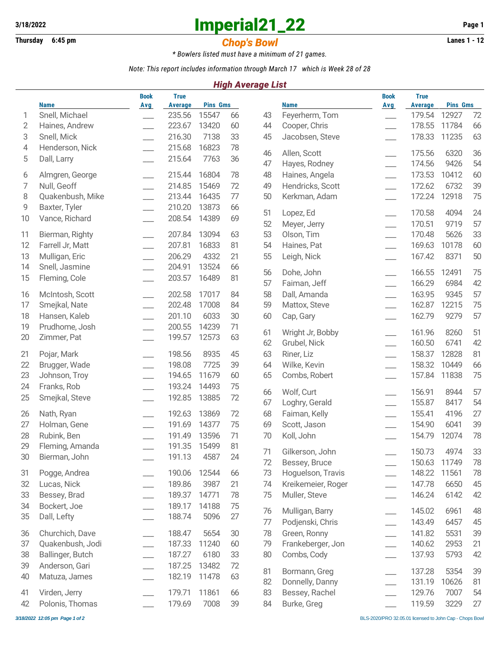## **3/18/2022 Imperial21\_22 Page 1**

## **Thursday 6:45 pm** *Chop's Bowl* **Lanes 1 - 12**

*\* Bowlers listed must have a minimum of 21 games.*

*Note: This report includes information through March 17 which is Week 28 of 28*

### *High Average List*

|    |                  | <b>Book</b>              | <b>True</b>    |                 |      |    |                    | <b>Book</b>              | <b>True</b>    |                          |    |
|----|------------------|--------------------------|----------------|-----------------|------|----|--------------------|--------------------------|----------------|--------------------------|----|
|    | <b>Name</b>      | <b>Avg</b>               | <b>Average</b> | <b>Pins Gms</b> |      |    | <b>Name</b>        | <b>Avg</b>               | <b>Average</b> | <b>Pins Gms</b><br>12927 |    |
| 1  | Snell, Michael   |                          | 235.56         | 15547           | 66   | 43 | Feyerherm, Tom     | $\overline{\phantom{a}}$ | 179.54         |                          | 72 |
| 2  | Haines, Andrew   |                          | 223.67         | 13420           | 60   | 44 | Cooper, Chris      | $\overline{\phantom{a}}$ | 178.55         | 11784                    | 66 |
| 3  | Snell, Mick      |                          | 216.30         | 7138            | 33   | 45 | Jacobsen, Steve    | $\overline{\phantom{a}}$ | 178.33         | 11235                    | 63 |
| 4  | Henderson, Nick  |                          | 215.68         | 16823           | 78   | 46 | Allen, Scott       |                          | 175.56         | 6320                     | 36 |
| 5  | Dall, Larry      |                          | 215.64         | 7763            | 36   | 47 | Hayes, Rodney      | $\overline{\phantom{a}}$ | 174.56         | 9426                     | 54 |
| 6  | Almgren, George  |                          | 215.44         | 16804           | 78   | 48 | Haines, Angela     | $\overline{\phantom{0}}$ | 173.53         | 10412                    | 60 |
| 7  | Null, Geoff      |                          | 214.85         | 15469           | 72   | 49 | Hendricks, Scott   | $\overline{\phantom{a}}$ | 172.62         | 6732                     | 39 |
| 8  | Quakenbush, Mike |                          | 213.44         | 16435           | $77$ | 50 | Kerkman, Adam      | $\overline{\phantom{a}}$ | 172.24         | 12918                    | 75 |
| 9  | Baxter, Tyler    |                          | 210.20         | 13873           | 66   |    |                    |                          |                |                          |    |
| 10 | Vance, Richard   |                          | 208.54         | 14389           | 69   | 51 | Lopez, Ed          |                          | 170.58         | 4094                     | 24 |
|    |                  |                          |                |                 |      | 52 | Meyer, Jerry       | $\overline{\phantom{a}}$ | 170.51         | 9719                     | 57 |
| 11 | Bierman, Righty  |                          | 207.84         | 13094           | 63   | 53 | Olson, Tim         | $\overline{\phantom{a}}$ | 170.48         | 5626                     | 33 |
| 12 | Farrell Jr, Matt |                          | 207.81         | 16833           | 81   | 54 | Haines, Pat        | $\overline{\phantom{0}}$ | 169.63         | 10178                    | 60 |
| 13 | Mulligan, Eric   |                          | 206.29         | 4332            | 21   | 55 | Leigh, Nick        | $\overline{\phantom{0}}$ | 167.42         | 8371                     | 50 |
| 14 | Snell, Jasmine   |                          | 204.91         | 13524           | 66   | 56 | Dohe, John         |                          | 166.55         | 12491                    | 75 |
| 15 | Fleming, Cole    |                          | 203.57         | 16489           | 81   | 57 | Faiman, Jeff       | $\overline{\phantom{a}}$ | 166.29         | 6984                     | 42 |
| 16 | McIntosh, Scott  |                          | 202.58         | 17017           | 84   | 58 | Dall, Amanda       |                          | 163.95         | 9345                     | 57 |
| 17 | Smejkal, Nate    |                          | 202.48         | 17008           | 84   | 59 | Mattox, Steve      | $\overline{\phantom{0}}$ | 162.87         | 12215                    | 75 |
|    |                  |                          | 201.10         | 6033            | 30   |    |                    |                          | 162.79         |                          | 57 |
| 18 | Hansen, Kaleb    |                          |                |                 |      | 60 | Cap, Gary          |                          |                | 9279                     |    |
| 19 | Prudhome, Josh   |                          | 200.55         | 14239           | 71   | 61 | Wright Jr, Bobby   | $\overline{\phantom{a}}$ | 161.96         | 8260                     | 51 |
| 20 | Zimmer, Pat      |                          | 199.57         | 12573           | 63   | 62 | Grubel, Nick       | $\frac{1}{1}$            | 160.50         | 6741                     | 42 |
| 21 | Pojar, Mark      |                          | 198.56         | 8935            | 45   | 63 | Riner, Liz         |                          | 158.37         | 12828                    | 81 |
| 22 | Brugger, Wade    |                          | 198.08         | 7725            | 39   | 64 | Wilke, Kevin       | $\overline{\phantom{a}}$ | 158.32         | 10449                    | 66 |
| 23 | Johnson, Troy    |                          | 194.65         | 11679           | 60   | 65 | Combs, Robert      |                          | 157.84         | 11838                    | 75 |
| 24 | Franks, Rob      |                          | 193.24         | 14493           | 75   |    |                    |                          |                |                          |    |
| 25 | Smejkal, Steve   |                          | 192.85         | 13885           | 72   | 66 | Wolf, Curt         |                          | 156.91         | 8944                     | 57 |
|    |                  |                          |                |                 |      | 67 | Loghry, Gerald     | $\overline{\phantom{a}}$ | 155.87         | 8417                     | 54 |
| 26 | Nath, Ryan       |                          | 192.63         | 13869           | 72   | 68 | Faiman, Kelly      | $\overline{\phantom{0}}$ | 155.41         | 4196                     | 27 |
| 27 | Holman, Gene     |                          | 191.69         | 14377           | 75   | 69 | Scott, Jason       |                          | 154.90         | 6041                     | 39 |
| 28 | Rubink, Ben      |                          | 191.49         | 13596           | 71   | 70 | Koll, John         |                          | 154.79         | 12074                    | 78 |
| 29 | Fleming, Amanda  |                          | 191.35         | 15499           | 81   | 71 | Gilkerson, John    |                          | 150.73         | 4974                     | 33 |
| 30 | Bierman, John    |                          | 191.13         | 4587            | 24   | 72 | Bessey, Bruce      |                          | 150.63         | 11749                    | 78 |
| 31 | Pogge, Andrea    |                          | 190.06         | 12544           | 66   | 73 | Hoguelson, Travis  |                          | 148.22         | 11561                    | 78 |
| 32 | Lucas, Nick      |                          | 189.86         | 3987            | 21   | 74 | Kreikemeier, Roger | $\overline{\phantom{a}}$ | 147.78         | 6650                     | 45 |
| 33 | Bessey, Brad     |                          | 189.37         | 14771           | 78   | 75 | Muller, Steve      | $\overline{\phantom{0}}$ | 146.24         | 6142                     | 42 |
| 34 | Bockert, Joe     |                          | 189.17         | 14188           | 75   |    |                    |                          |                |                          |    |
| 35 | Dall, Lefty      |                          | 188.74         | 5096            | 27   | 76 | Mulligan, Barry    |                          | 145.02         | 6961                     | 48 |
|    |                  |                          |                |                 |      | 77 | Podjenski, Chris   | $\overline{\phantom{a}}$ | 143.49         | 6457                     | 45 |
| 36 | Churchich, Dave  |                          | 188.47         | 5654            | 30   | 78 | Green, Ronny       | $\overline{\phantom{0}}$ | 141.82         | 5531                     | 39 |
| 37 | Quakenbush, Jodi | $\overline{\phantom{a}}$ | 187.33         | 11240           | 60   | 79 | Frankeberger, Jon  | $\frac{1}{1}$            | 140.62         | 2953                     | 21 |
| 38 | Ballinger, Butch |                          | 187.27         | 6180            | 33   | 80 | Combs, Cody        | $\frac{1}{1}$            | 137.93         | 5793                     | 42 |
| 39 | Anderson, Gari   |                          | 187.25         | 13482           | 72   | 81 | Bormann, Greg      |                          | 137.28         | 5354                     | 39 |
| 40 | Matuza, James    |                          | 182.19         | 11478           | 63   | 82 | Donnelly, Danny    | $\overline{\phantom{0}}$ | 131.19         | 10626                    | 81 |
| 41 | Virden, Jerry    |                          | 179.71         | 11861           | 66   | 83 | Bessey, Rachel     |                          | 129.76         | 7007                     | 54 |
| 42 | Polonis, Thomas  |                          | 179.69         | 7008            | 39   | 84 | Burke, Greg        |                          | 119.59         | 3229                     | 27 |
|    |                  |                          |                |                 |      |    |                    |                          |                |                          |    |